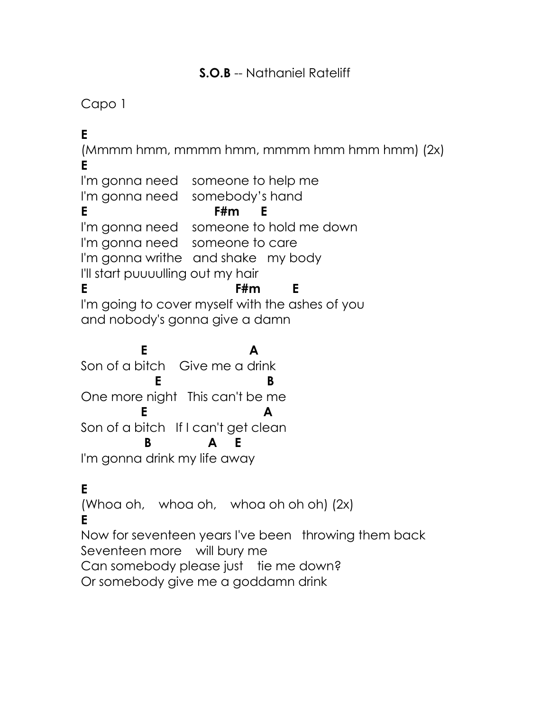#### **S.O.B** -- Nathaniel Rateliff

# Capo 1

**E**  $(Mmmm \,hmm, \,mmmm \,hmm \,hmm, \,mmmm)$ , mmmm hmm hmm hmm)  $(2x)$ **E** I'm gonna need someone to help me I'm gonna need somebody's hand **E F#m E** I'm gonna need someone to hold me down I'm gonna need someone to care I'm gonna writhe and shake my body I'll start puuuulling out my hair **E F#m E** I'm going to cover myself with the ashes of you and nobody's gonna give a damn **E** A Son of a bitch Give me a drink **E** B One more night This can't be me **E** A Son of a bitch If I can't get clean

 **B A E** I'm gonna drink my life away

## **E**

(Whoa oh, whoa oh, whoa oh oh oh) (2x)

#### **E**

Now for seventeen years I've been throwing them back Seventeen more will bury me Can somebody please just tie me down?

Or somebody give me a goddamn drink